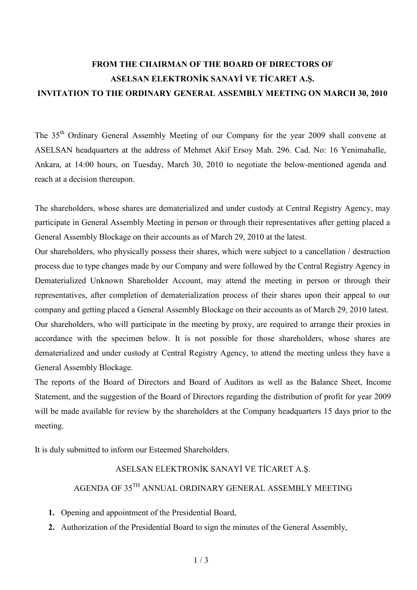# **FROM THE CHAIRMAN OF THE BOARD OF DIRECTORS OF ASELSAN ELEKTRONİK SANAYİ VE TİCARET A.S. INVITATION TO THE ORDINARY GENERAL ASSEMBLY MEETING ON MARCH 30, 2010**

The 35th Ordinary General Assembly Meeting of our Company for the year 2009 shall convene at ASELSAN headquarters at the address of Mehmet Akif Ersoy Mah. 296. Cad. No: 16 Yenimahalle, Ankara, at 14:00 hours, on Tuesday, March 30, 2010 to negotiate the below-mentioned agenda and reach at a decision thereupon.

The shareholders, whose shares are dematerialized and under custody at Central Registry Agency, may participate in General Assembly Meeting in person or through their representatives after getting placed a General Assembly Blockage on their accounts as of March 29, 2010 at the latest.

Our shareholders, who physically possess their shares, which were subject to a cancellation / destruction process due to type changes made by our Company and were followed by the Central Registry Agency in Dematerialized Unknown Shareholder Account, may attend the meeting in person or through their representatives, after completion of dematerialization process of their shares upon their appeal to our company and getting placed a General Assembly Blockage on their accounts as of March 29, 2010 latest. Our shareholders, who will participate in the meeting by proxy, are required to arrange their proxies in accordance with the specimen below. It is not possible for those shareholders, whose shares are dematerialized and under custody at Central Registry Agency, to attend the meeting unless they have a General Assembly Blockage.

The reports of the Board of Directors and Board of Auditors as well as the Balance Sheet, Income Statement, and the suggestion of the Board of Directors regarding the distribution of profit for year 2009 will be made available for review by the shareholders at the Company headquarters 15 days prior to the meeting.

It is duly submitted to inform our Esteemed Shareholders.

#### ASELSAN ELEKTRONİK SANAYİ VE TİCARET A.Ş.

# AGENDA OF 35TH ANNUAL ORDINARY GENERAL ASSEMBLY MEETING

- **1.** Opening and appointment of the Presidential Board,
- **2.** Authorization of the Presidential Board to sign the minutes of the General Assembly,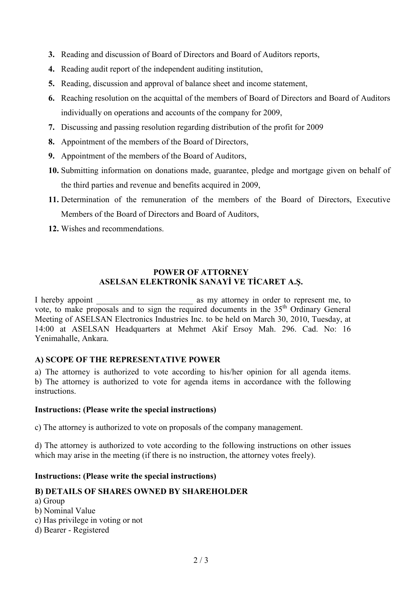- **3.** Reading and discussion of Board of Directors and Board of Auditors reports,
- **4.** Reading audit report of the independent auditing institution,
- **5.** Reading, discussion and approval of balance sheet and income statement,
- **6.** Reaching resolution on the acquittal of the members of Board of Directors and Board of Auditors individually on operations and accounts of the company for 2009,
- **7.** Discussing and passing resolution regarding distribution of the profit for 2009
- **8.** Appointment of the members of the Board of Directors,
- **9.** Appointment of the members of the Board of Auditors,
- **10.** Submitting information on donations made, guarantee, pledge and mortgage given on behalf of the third parties and revenue and benefits acquired in 2009,
- **11.** Determination of the remuneration of the members of the Board of Directors, Executive Members of the Board of Directors and Board of Auditors,
- **12.** Wishes and recommendations.

## **POWER OF ATTORNEY ASELSAN ELEKTRONİK SANAYİ VE TİCARET A.Ş.**

I hereby appoint as my attorney in order to represent me, to vote, to make proposals and to sign the required documents in the  $35<sup>th</sup>$  Ordinary General Meeting of ASELSAN Electronics Industries Inc. to be held on March 30, 2010, Tuesday, at 14:00 at ASELSAN Headquarters at Mehmet Akif Ersoy Mah. 296. Cad. No: 16 Yenimahalle, Ankara.

#### **A) SCOPE OF THE REPRESENTATIVE POWER**

a) The attorney is authorized to vote according to his/her opinion for all agenda items. b) The attorney is authorized to vote for agenda items in accordance with the following instructions.

#### **Instructions: (Please write the special instructions)**

c) The attorney is authorized to vote on proposals of the company management.

d) The attorney is authorized to vote according to the following instructions on other issues which may arise in the meeting (if there is no instruction, the attorney votes freely).

#### **Instructions: (Please write the special instructions)**

## **B) DETAILS OF SHARES OWNED BY SHAREHOLDER**

- a) Group
- b) Nominal Value
- c) Has privilege in voting or not
- d) Bearer Registered